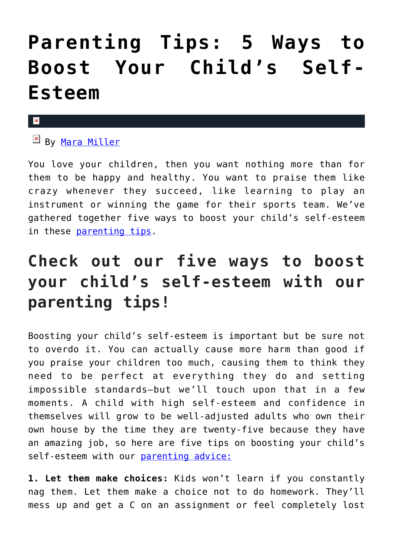## **[Parenting Tips: 5 Ways to](https://cupidspulse.com/132464/parenting-tips-5-ways-to-boost-your-childs-self-esteem/) [Boost Your Child's Self-](https://cupidspulse.com/132464/parenting-tips-5-ways-to-boost-your-childs-self-esteem/)[Esteem](https://cupidspulse.com/132464/parenting-tips-5-ways-to-boost-your-childs-self-esteem/)**

## ×

By [Mara Miller](http://cupidspulse.com/128278/mara-miller/)

You love your children, then you want nothing more than for them to be happy and healthy. You want to praise them like crazy whenever they succeed, like learning to play an instrument or winning the game for their sports team. We've gathered together five ways to boost your child's self-esteem in these [parenting tips](http://cupidspulse.com/?s=parenting+tips).

## **Check out our five ways to boost your child's self-esteem with our parenting tips!**

Boosting your child's self-esteem is important but be sure not to overdo it. You can actually cause more harm than good if you praise your children too much, causing them to think they need to be perfect at everything they do and setting impossible standards–but we'll touch upon that in a few moments. A child with high self-esteem and confidence in themselves will grow to be well-adjusted adults who own their own house by the time they are twenty-five because they have an amazing job, so here are five tips on boosting your child's self-esteem with our [parenting advice:](http://cupidspulse.com/?s=parenting+advice)

**1. Let them make choices:** Kids won't learn if you constantly nag them. Let them make a choice not to do homework. They'll mess up and get a C on an assignment or feel completely lost